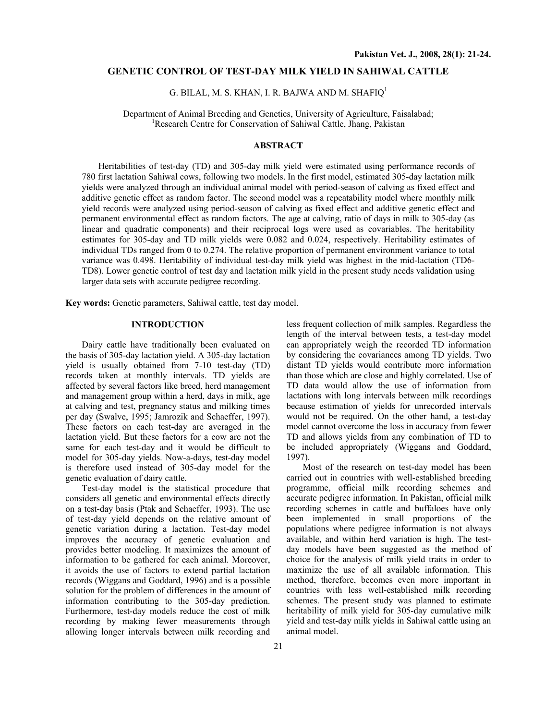## **GENETIC CONTROL OF TEST-DAY MILK YIELD IN SAHIWAL CATTLE**

# G. BILAL, M. S. KHAN, I. R. BAJWA AND M. SHAFIQ1

Department of Animal Breeding and Genetics, University of Agriculture, Faisalabad; 1 <sup>1</sup>Research Centre for Conservation of Sahiwal Cattle, Jhang, Pakistan

## **ABSTRACT**

Heritabilities of test-day (TD) and 305-day milk yield were estimated using performance records of 780 first lactation Sahiwal cows, following two models. In the first model, estimated 305-day lactation milk yields were analyzed through an individual animal model with period-season of calving as fixed effect and additive genetic effect as random factor. The second model was a repeatability model where monthly milk yield records were analyzed using period-season of calving as fixed effect and additive genetic effect and permanent environmental effect as random factors. The age at calving, ratio of days in milk to 305-day (as linear and quadratic components) and their reciprocal logs were used as covariables. The heritability estimates for 305-day and TD milk yields were 0.082 and 0.024, respectively. Heritability estimates of individual TDs ranged from 0 to 0.274. The relative proportion of permanent environment variance to total variance was 0.498. Heritability of individual test-day milk yield was highest in the mid-lactation (TD6- TD8). Lower genetic control of test day and lactation milk yield in the present study needs validation using larger data sets with accurate pedigree recording.

**Key words:** Genetic parameters, Sahiwal cattle, test day model.

# **INTRODUCTION**

Dairy cattle have traditionally been evaluated on the basis of 305-day lactation yield. A 305-day lactation yield is usually obtained from 7-10 test-day (TD) records taken at monthly intervals. TD yields are affected by several factors like breed, herd management and management group within a herd, days in milk, age at calving and test, pregnancy status and milking times per day (Swalve, 1995; Jamrozik and Schaeffer, 1997). These factors on each test-day are averaged in the lactation yield. But these factors for a cow are not the same for each test-day and it would be difficult to model for 305-day yields. Now-a-days, test-day model is therefore used instead of 305-day model for the genetic evaluation of dairy cattle.

Test-day model is the statistical procedure that considers all genetic and environmental effects directly on a test-day basis (Ptak and Schaeffer, 1993). The use of test-day yield depends on the relative amount of genetic variation during a lactation. Test-day model improves the accuracy of genetic evaluation and provides better modeling. It maximizes the amount of information to be gathered for each animal. Moreover, it avoids the use of factors to extend partial lactation records (Wiggans and Goddard, 1996) and is a possible solution for the problem of differences in the amount of information contributing to the 305-day prediction. Furthermore, test-day models reduce the cost of milk recording by making fewer measurements through allowing longer intervals between milk recording and

less frequent collection of milk samples. Regardless the length of the interval between tests, a test-day model can appropriately weigh the recorded TD information by considering the covariances among TD yields. Two distant TD yields would contribute more information than those which are close and highly correlated. Use of TD data would allow the use of information from lactations with long intervals between milk recordings because estimation of yields for unrecorded intervals would not be required. On the other hand, a test-day model cannot overcome the loss in accuracy from fewer TD and allows yields from any combination of TD to be included appropriately (Wiggans and Goddard, 1997).

Most of the research on test-day model has been carried out in countries with well-established breeding programme, official milk recording schemes and accurate pedigree information. In Pakistan, official milk recording schemes in cattle and buffaloes have only been implemented in small proportions of the populations where pedigree information is not always available, and within herd variation is high. The testday models have been suggested as the method of choice for the analysis of milk yield traits in order to maximize the use of all available information. This method, therefore, becomes even more important in countries with less well-established milk recording schemes. The present study was planned to estimate heritability of milk yield for 305-day cumulative milk yield and test-day milk yields in Sahiwal cattle using an animal model.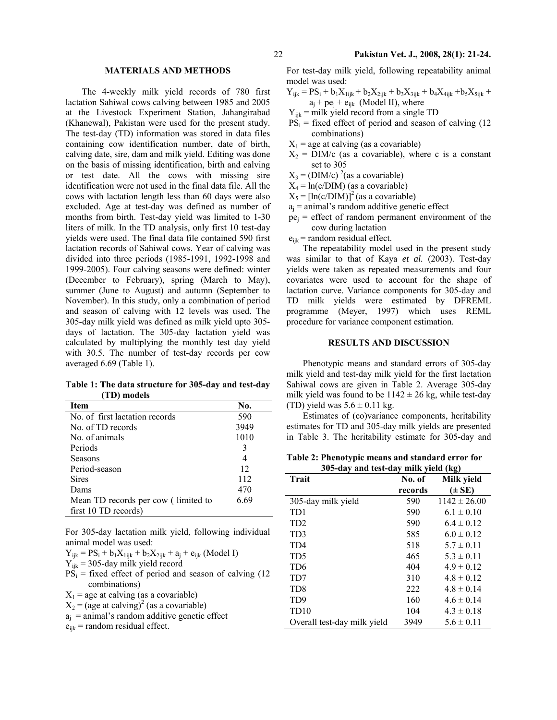# **MATERIALS AND METHODS**

The 4-weekly milk yield records of 780 first lactation Sahiwal cows calving between 1985 and 2005 at the Livestock Experiment Station, Jahangirabad (Khanewal), Pakistan were used for the present study. The test-day (TD) information was stored in data files containing cow identification number, date of birth, calving date, sire, dam and milk yield. Editing was done on the basis of missing identification, birth and calving or test date. All the cows with missing sire identification were not used in the final data file. All the cows with lactation length less than 60 days were also excluded. Age at test-day was defined as number of months from birth. Test-day yield was limited to 1-30 liters of milk. In the TD analysis, only first 10 test-day yields were used. The final data file contained 590 first lactation records of Sahiwal cows. Year of calving was divided into three periods (1985-1991, 1992-1998 and 1999-2005). Four calving seasons were defined: winter (December to February), spring (March to May), summer (June to August) and autumn (September to November). In this study, only a combination of period and season of calving with 12 levels was used. The 305-day milk yield was defined as milk yield upto 305 days of lactation. The 305-day lactation yield was calculated by multiplying the monthly test day yield with 30.5. The number of test-day records per cow averaged 6.69 (Table 1).

**Table 1: The data structure for 305-day and test-day (TD) models** 

| Item                                | No.  |
|-------------------------------------|------|
| No. of first lactation records      | 590  |
| No. of TD records                   | 3949 |
| No. of animals                      | 1010 |
| Periods                             | 3    |
| Seasons                             | 4    |
| Period-season                       | 12   |
| <b>Sires</b>                        | 112  |
| Dams                                | 470  |
| Mean TD records per cow (limited to | 6.69 |
| first 10 TD records)                |      |

For 305-day lactation milk yield, following individual animal model was used:

- $\mathbf{Y}_{ijk} = \mathbf{P}\mathbf{S}_i + \mathbf{b}_1\mathbf{X}_{1ijk} + \mathbf{b}_2\mathbf{X}_{2ijk} + \mathbf{a}_j + \mathbf{e}_{ijk}$  (Model I)
- $Y_{ijk}$  = 305-day milk yield record
- $PS_i$  = fixed effect of period and season of calving (12 combinations)
- $X_1$  = age at calving (as a covariable)
- $X_2$  = (age at calving)<sup>2</sup> (as a covariable)

 $a_i$  = animal's random additive genetic effect

 $e_{ijk}$  = random residual effect.

For test-day milk yield, following repeatability animal model was used:

$$
Y_{ijk} = PS_i + b_1 X_{1ijk} + b_2 X_{2ijk} + b_3 X_{3ijk} + b_4 X_{4ijk} + b_5 X_{5ijk} + a_i + pe_j + e_{ijk}
$$
 (Model II), where

- $Y_{ijk}$  = milk yield record from a single TD
- $PS<sub>i</sub>$  = fixed effect of period and season of calving (12) combinations)
- $X_1$  = age at calving (as a covariable)
- $X_2 =$  DIM/c (as a covariable), where c is a constant set to 305
- $X_3$  = (DIM/c)<sup>2</sup>(as a covariable)
- $X_4 = ln(c/DIM)$  (as a covariable)
- $X_5 = [ln(c/DIM)]^2$  (as a covariable)
- $a_j$  = animal's random additive genetic effect
- $pe_i$  = effect of random permanent environment of the cow during lactation
- $e_{ijk}$  = random residual effect.

The repeatability model used in the present study was similar to that of Kaya *et al.* (2003). Test-day yields were taken as repeated measurements and four covariates were used to account for the shape of lactation curve. Variance components for 305-day and TD milk yields were estimated by DFREML programme (Meyer, 1997) which uses REML procedure for variance component estimation.

#### **RESULTS AND DISCUSSION**

Phenotypic means and standard errors of 305-day milk yield and test-day milk yield for the first lactation Sahiwal cows are given in Table 2. Average 305-day milk yield was found to be  $1142 \pm 26$  kg, while test-day (TD) yield was  $5.6 \pm 0.11$  kg.

Estimates of (co)variance components, heritability estimates for TD and 305-day milk yields are presented in Table 3. The heritability estimate for 305-day and

**Table 2: Phenotypic means and standard error for 305-day and test-day milk yield (kg)** 

| <b>Trait</b>                | No. of  | Milk yield       |  |  |  |
|-----------------------------|---------|------------------|--|--|--|
|                             | records | $(\pm SE)$       |  |  |  |
| 305-day milk yield          | 590     | $1142 \pm 26.00$ |  |  |  |
| TD1                         | 590     | $6.1 \pm 0.10$   |  |  |  |
| TD <sub>2</sub>             | 590     | $6.4 \pm 0.12$   |  |  |  |
| TD <sub>3</sub>             | 585     | $6.0 \pm 0.12$   |  |  |  |
| TD4                         | 518     | $5.7 \pm 0.11$   |  |  |  |
| TD5                         | 465     | $5.3 \pm 0.11$   |  |  |  |
| TD <sub>6</sub>             | 404     | $4.9 \pm 0.12$   |  |  |  |
| TD7                         | 310     | $4.8 \pm 0.12$   |  |  |  |
| TD <sub>8</sub>             | 222     | $4.8 \pm 0.14$   |  |  |  |
| TD9                         | 160     | $4.6 \pm 0.14$   |  |  |  |
| TD <sub>10</sub>            | 104     | $4.3 \pm 0.18$   |  |  |  |
| Overall test-day milk yield | 3949    | $5.6 \pm 0.11$   |  |  |  |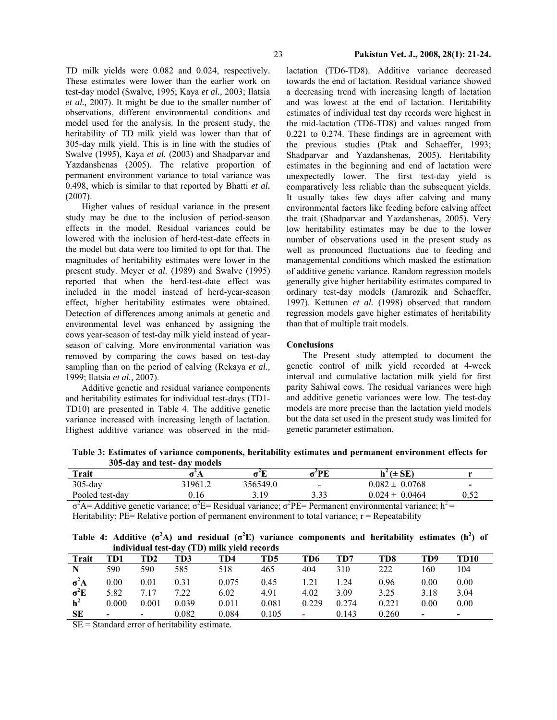TD milk yields were 0.082 and 0.024, respectively. These estimates were lower than the earlier work on test-day model (Swalve, 1995; Kaya *et al.,* 2003; Ilatsia *et al.,* 2007). It might be due to the smaller number of observations, different environmental conditions and model used for the analysis. In the present study, the heritability of TD milk yield was lower than that of 305-day milk yield. This is in line with the studies of Swalve (1995), Kaya *et al.* (2003) and Shadparvar and Yazdanshenas (2005). The relative proportion of permanent environment variance to total variance was 0.498, which is similar to that reported by Bhatti *et al*. (2007).

Higher values of residual variance in the present study may be due to the inclusion of period-season effects in the model. Residual variances could be lowered with the inclusion of herd-test-date effects in the model but data were too limited to opt for that. The magnitudes of heritability estimates were lower in the present study. Meyer e*t al.* (1989) and Swalve (1995) reported that when the herd-test-date effect was included in the model instead of herd-year-season effect, higher heritability estimates were obtained. Detection of differences among animals at genetic and environmental level was enhanced by assigning the cows year-season of test-day milk yield instead of yearseason of calving. More environmental variation was removed by comparing the cows based on test-day sampling than on the period of calving (Rekaya *et al.,*  1999; Ilatsia *et al.,* 2007).

Additive genetic and residual variance components and heritability estimates for individual test-days (TD1- TD10) are presented in Table 4. The additive genetic variance increased with increasing length of lactation. Highest additive variance was observed in the midlactation (TD6-TD8). Additive variance decreased towards the end of lactation. Residual variance showed a decreasing trend with increasing length of lactation and was lowest at the end of lactation. Heritability estimates of individual test day records were highest in the mid-lactation (TD6-TD8) and values ranged from 0.221 to 0.274. These findings are in agreement with the previous studies (Ptak and Schaeffer, 1993; Shadparvar and Yazdanshenas, 2005). Heritability estimates in the beginning and end of lactation were unexpectedly lower. The first test-day yield is comparatively less reliable than the subsequent yields. It usually takes few days after calving and many environmental factors like feeding before calving affect the trait (Shadparvar and Yazdanshenas, 2005). Very low heritability estimates may be due to the lower number of observations used in the present study as well as pronounced fluctuations due to feeding and managemental conditions which masked the estimation of additive genetic variance. Random regression models generally give higher heritability estimates compared to ordinary test-day models (Jamrozik and Schaeffer, 1997). Kettunen *et al.* (1998) observed that random regression models gave higher estimates of heritability than that of multiple trait models.

#### **Conclusions**

The Present study attempted to document the genetic control of milk yield recorded at 4-week interval and cumulative lactation milk yield for first parity Sahiwal cows. The residual variances were high and additive genetic variances were low. The test-day models are more precise than the lactation yield models but the data set used in the present study was limited for genetic parameter estimation.

**Table 3: Estimates of variance components, heritability estimates and permanent environment effects for 305-day and test- day models** 

| $h^2 (\pm SE)$<br>72 PE<br>-4T              |                          |
|---------------------------------------------|--------------------------|
| 356549.0<br>$0.082 \pm 0.0768$<br>$\,$ $\,$ | $\overline{\phantom{0}}$ |
| 222<br>$0.024 \pm 0.0464$<br>2 1 Q<br>      | ∪.∪∠                     |
| $\sim$ $\sim$                               |                          |

 $\sigma^2$ A= Additive genetic variance;  $\sigma^2$ E= Residual variance;  $\sigma^2$ PE= Permanent environmental variance; h<sup>2</sup>= Heritability;  $PE=$  Relative portion of permanent environment to total variance;  $r =$  Repeatability

|                                             |  |  |  |  |  |  | Table 4: Additive $(\sigma^2 A)$ and residual $(\sigma^2 E)$ variance components and heritability estimates $(h^2)$ of |  |  |  |
|---------------------------------------------|--|--|--|--|--|--|------------------------------------------------------------------------------------------------------------------------|--|--|--|
| individual test-day (TD) milk yield records |  |  |  |  |  |  |                                                                                                                        |  |  |  |

|                |                          |                |       | <u>mutyhuudi test-udy (TD) miik yleid Techi us</u> |       |       |       |       |      |                          |
|----------------|--------------------------|----------------|-------|----------------------------------------------------|-------|-------|-------|-------|------|--------------------------|
| Trait          | TD1                      | TD2            | TD3   | TD4                                                | TD5   | TD6   | TD7   | TD8   | TD9  | TD10                     |
| N              | 590                      | 590            | 585   | 518                                                | 465   | 404   | 310   | 222   | 160  | 104                      |
| $\sigma^2$ A   | 0.00                     | 0.01           | 0.31  | 0.075                                              | 0.45  | .21   | .24   | 0.96  | 0.00 | 0.00                     |
| $\sigma^2 E$   | 5.82                     | 7.17           | 7.22  | 6.02                                               | 4.91  | 4.02  | 3.09  | 3.25  | 3.18 | 3.04                     |
| h <sup>2</sup> | 0.000                    | 0.001          | 0.039 | 0.011                                              | 0.081 | 0.229 | 0.274 | 0.221 | 0.00 | 0.00                     |
| <b>SE</b>      | $\overline{\phantom{0}}$ | $\blacksquare$ | 0.082 | 0.084                                              | 0.105 | ۰     | 0.143 | 0.260 | $\,$ | $\overline{\phantom{0}}$ |

 $SE = Standard$  error of heritability estimate.